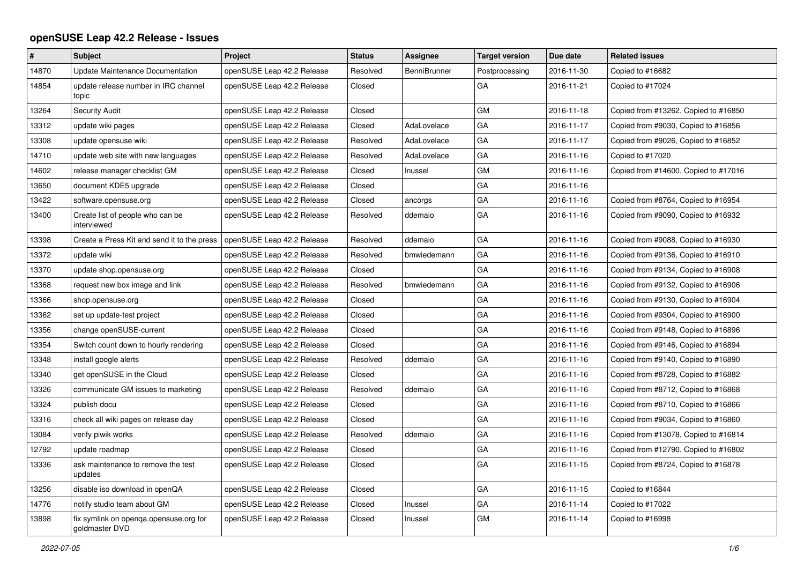## **openSUSE Leap 42.2 Release - Issues**

| #     | <b>Subject</b>                                           | Project                    | <b>Status</b> | Assignee            | <b>Target version</b> | Due date   | <b>Related issues</b>                |
|-------|----------------------------------------------------------|----------------------------|---------------|---------------------|-----------------------|------------|--------------------------------------|
| 14870 | Update Maintenance Documentation                         | openSUSE Leap 42.2 Release | Resolved      | <b>BenniBrunner</b> | Postprocessing        | 2016-11-30 | Copied to #16682                     |
| 14854 | update release number in IRC channel<br>topic            | openSUSE Leap 42.2 Release | Closed        |                     | GA                    | 2016-11-21 | Copied to #17024                     |
| 13264 | <b>Security Audit</b>                                    | openSUSE Leap 42.2 Release | Closed        |                     | GM                    | 2016-11-18 | Copied from #13262, Copied to #16850 |
| 13312 | update wiki pages                                        | openSUSE Leap 42.2 Release | Closed        | AdaLovelace         | GA                    | 2016-11-17 | Copied from #9030, Copied to #16856  |
| 13308 | update opensuse wiki                                     | openSUSE Leap 42.2 Release | Resolved      | AdaLovelace         | GA                    | 2016-11-17 | Copied from #9026, Copied to #16852  |
| 14710 | update web site with new languages                       | openSUSE Leap 42.2 Release | Resolved      | AdaLovelace         | GA                    | 2016-11-16 | Copied to #17020                     |
| 14602 | release manager checklist GM                             | openSUSE Leap 42.2 Release | Closed        | Inussel             | <b>GM</b>             | 2016-11-16 | Copied from #14600, Copied to #17016 |
| 13650 | document KDE5 upgrade                                    | openSUSE Leap 42.2 Release | Closed        |                     | GA                    | 2016-11-16 |                                      |
| 13422 | software.opensuse.org                                    | openSUSE Leap 42.2 Release | Closed        | ancorgs             | GA                    | 2016-11-16 | Copied from #8764, Copied to #16954  |
| 13400 | Create list of people who can be<br>interviewed          | openSUSE Leap 42.2 Release | Resolved      | ddemaio             | GА                    | 2016-11-16 | Copied from #9090, Copied to #16932  |
| 13398 | Create a Press Kit and send it to the press              | openSUSE Leap 42.2 Release | Resolved      | ddemaio             | GA                    | 2016-11-16 | Copied from #9088, Copied to #16930  |
| 13372 | update wiki                                              | openSUSE Leap 42.2 Release | Resolved      | bmwiedemann         | GA                    | 2016-11-16 | Copied from #9136, Copied to #16910  |
| 13370 | update shop.opensuse.org                                 | openSUSE Leap 42.2 Release | Closed        |                     | GA                    | 2016-11-16 | Copied from #9134, Copied to #16908  |
| 13368 | request new box image and link                           | openSUSE Leap 42.2 Release | Resolved      | bmwiedemann         | GA                    | 2016-11-16 | Copied from #9132, Copied to #16906  |
| 13366 | shop.opensuse.org                                        | openSUSE Leap 42.2 Release | Closed        |                     | GA                    | 2016-11-16 | Copied from #9130, Copied to #16904  |
| 13362 | set up update-test project                               | openSUSE Leap 42.2 Release | Closed        |                     | GA                    | 2016-11-16 | Copied from #9304, Copied to #16900  |
| 13356 | change openSUSE-current                                  | openSUSE Leap 42.2 Release | Closed        |                     | GA                    | 2016-11-16 | Copied from #9148, Copied to #16896  |
| 13354 | Switch count down to hourly rendering                    | openSUSE Leap 42.2 Release | Closed        |                     | GA                    | 2016-11-16 | Copied from #9146, Copied to #16894  |
| 13348 | install google alerts                                    | openSUSE Leap 42.2 Release | Resolved      | ddemaio             | GA                    | 2016-11-16 | Copied from #9140, Copied to #16890  |
| 13340 | get openSUSE in the Cloud                                | openSUSE Leap 42.2 Release | Closed        |                     | GA                    | 2016-11-16 | Copied from #8728, Copied to #16882  |
| 13326 | communicate GM issues to marketing                       | openSUSE Leap 42.2 Release | Resolved      | ddemaio             | GA                    | 2016-11-16 | Copied from #8712, Copied to #16868  |
| 13324 | publish docu                                             | openSUSE Leap 42.2 Release | Closed        |                     | GA                    | 2016-11-16 | Copied from #8710, Copied to #16866  |
| 13316 | check all wiki pages on release day                      | openSUSE Leap 42.2 Release | Closed        |                     | GA                    | 2016-11-16 | Copied from #9034, Copied to #16860  |
| 13084 | verify piwik works                                       | openSUSE Leap 42.2 Release | Resolved      | ddemaio             | GA                    | 2016-11-16 | Copied from #13078, Copied to #16814 |
| 12792 | update roadmap                                           | openSUSE Leap 42.2 Release | Closed        |                     | GA                    | 2016-11-16 | Copied from #12790, Copied to #16802 |
| 13336 | ask maintenance to remove the test<br>updates            | openSUSE Leap 42.2 Release | Closed        |                     | GA                    | 2016-11-15 | Copied from #8724, Copied to #16878  |
| 13256 | disable iso download in openQA                           | openSUSE Leap 42.2 Release | Closed        |                     | GA                    | 2016-11-15 | Copied to #16844                     |
| 14776 | notify studio team about GM                              | openSUSE Leap 42.2 Release | Closed        | Inussel             | GA                    | 2016-11-14 | Copied to #17022                     |
| 13898 | fix symlink on openga.opensuse.org for<br>goldmaster DVD | openSUSE Leap 42.2 Release | Closed        | Inussel             | <b>GM</b>             | 2016-11-14 | Copied to #16998                     |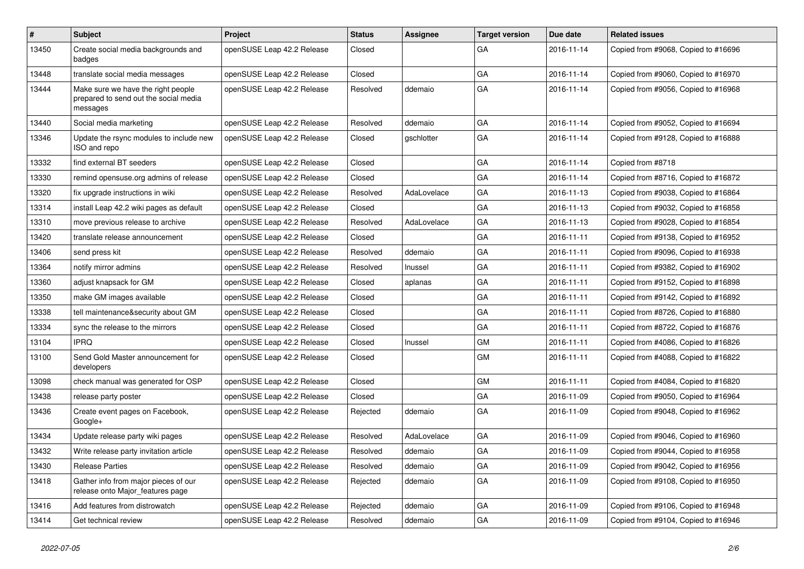| $\vert$ # | <b>Subject</b>                                                                          | <b>Project</b>             | <b>Status</b> | Assignee    | <b>Target version</b> | Due date   | <b>Related issues</b>               |
|-----------|-----------------------------------------------------------------------------------------|----------------------------|---------------|-------------|-----------------------|------------|-------------------------------------|
| 13450     | Create social media backgrounds and<br>badges                                           | openSUSE Leap 42.2 Release | Closed        |             | GA                    | 2016-11-14 | Copied from #9068, Copied to #16696 |
| 13448     | translate social media messages                                                         | openSUSE Leap 42.2 Release | Closed        |             | GA                    | 2016-11-14 | Copied from #9060, Copied to #16970 |
| 13444     | Make sure we have the right people<br>prepared to send out the social media<br>messages | openSUSE Leap 42.2 Release | Resolved      | ddemaio     | GA                    | 2016-11-14 | Copied from #9056, Copied to #16968 |
| 13440     | Social media marketing                                                                  | openSUSE Leap 42.2 Release | Resolved      | ddemaio     | GA                    | 2016-11-14 | Copied from #9052, Copied to #16694 |
| 13346     | Update the rsync modules to include new<br>ISO and repo                                 | openSUSE Leap 42.2 Release | Closed        | gschlotter  | GA                    | 2016-11-14 | Copied from #9128, Copied to #16888 |
| 13332     | find external BT seeders                                                                | openSUSE Leap 42.2 Release | Closed        |             | GA                    | 2016-11-14 | Copied from #8718                   |
| 13330     | remind opensuse.org admins of release                                                   | openSUSE Leap 42.2 Release | Closed        |             | GA                    | 2016-11-14 | Copied from #8716, Copied to #16872 |
| 13320     | fix upgrade instructions in wiki                                                        | openSUSE Leap 42.2 Release | Resolved      | AdaLovelace | GA                    | 2016-11-13 | Copied from #9038, Copied to #16864 |
| 13314     | install Leap 42.2 wiki pages as default                                                 | openSUSE Leap 42.2 Release | Closed        |             | GA                    | 2016-11-13 | Copied from #9032, Copied to #16858 |
| 13310     | move previous release to archive                                                        | openSUSE Leap 42.2 Release | Resolved      | AdaLovelace | GA                    | 2016-11-13 | Copied from #9028, Copied to #16854 |
| 13420     | translate release announcement                                                          | openSUSE Leap 42.2 Release | Closed        |             | GA                    | 2016-11-11 | Copied from #9138, Copied to #16952 |
| 13406     | send press kit                                                                          | openSUSE Leap 42.2 Release | Resolved      | ddemaio     | GA                    | 2016-11-11 | Copied from #9096, Copied to #16938 |
| 13364     | notify mirror admins                                                                    | openSUSE Leap 42.2 Release | Resolved      | Inussel     | GA                    | 2016-11-11 | Copied from #9382, Copied to #16902 |
| 13360     | adjust knapsack for GM                                                                  | openSUSE Leap 42.2 Release | Closed        | aplanas     | GA                    | 2016-11-11 | Copied from #9152, Copied to #16898 |
| 13350     | make GM images available                                                                | openSUSE Leap 42.2 Release | Closed        |             | GA                    | 2016-11-11 | Copied from #9142, Copied to #16892 |
| 13338     | tell maintenance&security about GM                                                      | openSUSE Leap 42.2 Release | Closed        |             | GA                    | 2016-11-11 | Copied from #8726, Copied to #16880 |
| 13334     | sync the release to the mirrors                                                         | openSUSE Leap 42.2 Release | Closed        |             | GA                    | 2016-11-11 | Copied from #8722, Copied to #16876 |
| 13104     | <b>IPRQ</b>                                                                             | openSUSE Leap 42.2 Release | Closed        | Inussel     | GM                    | 2016-11-11 | Copied from #4086, Copied to #16826 |
| 13100     | Send Gold Master announcement for<br>developers                                         | openSUSE Leap 42.2 Release | Closed        |             | <b>GM</b>             | 2016-11-11 | Copied from #4088, Copied to #16822 |
| 13098     | check manual was generated for OSP                                                      | openSUSE Leap 42.2 Release | Closed        |             | GM                    | 2016-11-11 | Copied from #4084, Copied to #16820 |
| 13438     | release party poster                                                                    | openSUSE Leap 42.2 Release | Closed        |             | GA                    | 2016-11-09 | Copied from #9050, Copied to #16964 |
| 13436     | Create event pages on Facebook,<br>Google+                                              | openSUSE Leap 42.2 Release | Rejected      | ddemaio     | GA                    | 2016-11-09 | Copied from #9048, Copied to #16962 |
| 13434     | Update release party wiki pages                                                         | openSUSE Leap 42.2 Release | Resolved      | AdaLovelace | GA                    | 2016-11-09 | Copied from #9046, Copied to #16960 |
| 13432     | Write release party invitation article                                                  | openSUSE Leap 42.2 Release | Resolved      | ddemaio     | GA                    | 2016-11-09 | Copied from #9044, Copied to #16958 |
| 13430     | <b>Release Parties</b>                                                                  | openSUSE Leap 42.2 Release | Resolved      | ddemaio     | GA                    | 2016-11-09 | Copied from #9042, Copied to #16956 |
| 13418     | Gather info from major pieces of our<br>release onto Major_features page                | openSUSE Leap 42.2 Release | Rejected      | ddemaio     | GA                    | 2016-11-09 | Copied from #9108, Copied to #16950 |
| 13416     | Add features from distrowatch                                                           | openSUSE Leap 42.2 Release | Rejected      | ddemaio     | GA                    | 2016-11-09 | Copied from #9106, Copied to #16948 |
| 13414     | Get technical review                                                                    | openSUSE Leap 42.2 Release | Resolved      | ddemaio     | GA                    | 2016-11-09 | Copied from #9104, Copied to #16946 |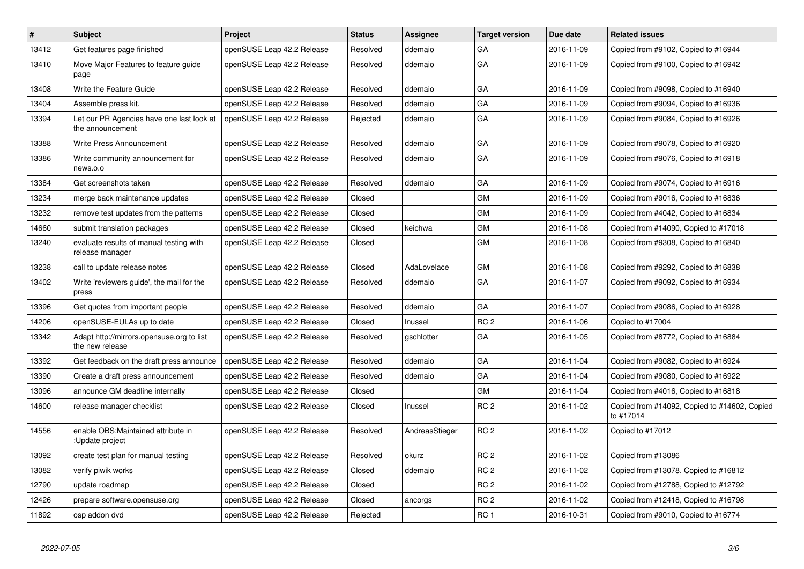| $\vert$ # | <b>Subject</b>                                                | <b>Project</b>             | <b>Status</b> | Assignee       | <b>Target version</b> | Due date   | <b>Related issues</b>                                     |
|-----------|---------------------------------------------------------------|----------------------------|---------------|----------------|-----------------------|------------|-----------------------------------------------------------|
| 13412     | Get features page finished                                    | openSUSE Leap 42.2 Release | Resolved      | ddemaio        | GA                    | 2016-11-09 | Copied from #9102, Copied to #16944                       |
| 13410     | Move Major Features to feature guide<br>page                  | openSUSE Leap 42.2 Release | Resolved      | ddemaio        | GA                    | 2016-11-09 | Copied from #9100, Copied to #16942                       |
| 13408     | Write the Feature Guide                                       | openSUSE Leap 42.2 Release | Resolved      | ddemaio        | GA                    | 2016-11-09 | Copied from #9098, Copied to #16940                       |
| 13404     | Assemble press kit.                                           | openSUSE Leap 42.2 Release | Resolved      | ddemaio        | GA                    | 2016-11-09 | Copied from #9094, Copied to #16936                       |
| 13394     | Let our PR Agencies have one last look at<br>the announcement | openSUSE Leap 42.2 Release | Rejected      | ddemaio        | GA                    | 2016-11-09 | Copied from #9084, Copied to #16926                       |
| 13388     | Write Press Announcement                                      | openSUSE Leap 42.2 Release | Resolved      | ddemaio        | GA                    | 2016-11-09 | Copied from #9078, Copied to #16920                       |
| 13386     | Write community announcement for<br>news.o.o                  | openSUSE Leap 42.2 Release | Resolved      | ddemaio        | GA                    | 2016-11-09 | Copied from #9076, Copied to #16918                       |
| 13384     | Get screenshots taken                                         | openSUSE Leap 42.2 Release | Resolved      | ddemaio        | GA                    | 2016-11-09 | Copied from #9074, Copied to #16916                       |
| 13234     | merge back maintenance updates                                | openSUSE Leap 42.2 Release | Closed        |                | GM                    | 2016-11-09 | Copied from #9016, Copied to #16836                       |
| 13232     | remove test updates from the patterns                         | openSUSE Leap 42.2 Release | Closed        |                | GM                    | 2016-11-09 | Copied from #4042, Copied to #16834                       |
| 14660     | submit translation packages                                   | openSUSE Leap 42.2 Release | Closed        | keichwa        | GM                    | 2016-11-08 | Copied from #14090, Copied to #17018                      |
| 13240     | evaluate results of manual testing with<br>release manager    | openSUSE Leap 42.2 Release | Closed        |                | <b>GM</b>             | 2016-11-08 | Copied from #9308, Copied to #16840                       |
| 13238     | call to update release notes                                  | openSUSE Leap 42.2 Release | Closed        | AdaLovelace    | GM                    | 2016-11-08 | Copied from #9292, Copied to #16838                       |
| 13402     | Write 'reviewers quide', the mail for the<br>press            | openSUSE Leap 42.2 Release | Resolved      | ddemaio        | GA                    | 2016-11-07 | Copied from #9092, Copied to #16934                       |
| 13396     | Get quotes from important people                              | openSUSE Leap 42.2 Release | Resolved      | ddemaio        | GA                    | 2016-11-07 | Copied from #9086, Copied to #16928                       |
| 14206     | openSUSE-EULAs up to date                                     | openSUSE Leap 42.2 Release | Closed        | Inussel        | RC <sub>2</sub>       | 2016-11-06 | Copied to #17004                                          |
| 13342     | Adapt http://mirrors.opensuse.org to list<br>the new release  | openSUSE Leap 42.2 Release | Resolved      | gschlotter     | GA                    | 2016-11-05 | Copied from #8772, Copied to #16884                       |
| 13392     | Get feedback on the draft press announce                      | openSUSE Leap 42.2 Release | Resolved      | ddemaio        | GA                    | 2016-11-04 | Copied from #9082, Copied to #16924                       |
| 13390     | Create a draft press announcement                             | openSUSE Leap 42.2 Release | Resolved      | ddemaio        | GA                    | 2016-11-04 | Copied from #9080, Copied to #16922                       |
| 13096     | announce GM deadline internally                               | openSUSE Leap 42.2 Release | Closed        |                | GM                    | 2016-11-04 | Copied from #4016, Copied to #16818                       |
| 14600     | release manager checklist                                     | openSUSE Leap 42.2 Release | Closed        | Inussel        | RC <sub>2</sub>       | 2016-11-02 | Copied from #14092, Copied to #14602, Copied<br>to #17014 |
| 14556     | enable OBS: Maintained attribute in<br>:Update project        | openSUSE Leap 42.2 Release | Resolved      | AndreasStieger | RC <sub>2</sub>       | 2016-11-02 | Copied to #17012                                          |
| 13092     | create test plan for manual testing                           | openSUSE Leap 42.2 Release | Resolved      | okurz          | RC <sub>2</sub>       | 2016-11-02 | Copied from #13086                                        |
| 13082     | verify piwik works                                            | openSUSE Leap 42.2 Release | Closed        | ddemaio        | RC <sub>2</sub>       | 2016-11-02 | Copied from #13078, Copied to #16812                      |
| 12790     | update roadmap                                                | openSUSE Leap 42.2 Release | Closed        |                | RC <sub>2</sub>       | 2016-11-02 | Copied from #12788, Copied to #12792                      |
| 12426     | prepare software.opensuse.org                                 | openSUSE Leap 42.2 Release | Closed        | ancorgs        | RC <sub>2</sub>       | 2016-11-02 | Copied from #12418, Copied to #16798                      |
| 11892     | osp addon dvd                                                 | openSUSE Leap 42.2 Release | Rejected      |                | RC <sub>1</sub>       | 2016-10-31 | Copied from #9010, Copied to #16774                       |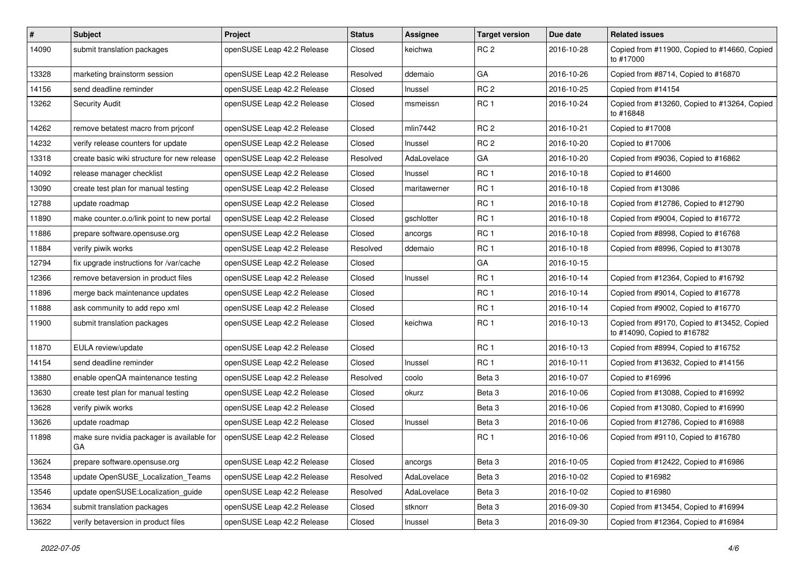| $\vert$ # | <b>Subject</b>                                   | <b>Project</b>             | <b>Status</b> | <b>Assignee</b> | <b>Target version</b> | Due date   | <b>Related issues</b>                                                      |
|-----------|--------------------------------------------------|----------------------------|---------------|-----------------|-----------------------|------------|----------------------------------------------------------------------------|
| 14090     | submit translation packages                      | openSUSE Leap 42.2 Release | Closed        | keichwa         | RC <sub>2</sub>       | 2016-10-28 | Copied from #11900, Copied to #14660, Copied<br>to #17000                  |
| 13328     | marketing brainstorm session                     | openSUSE Leap 42.2 Release | Resolved      | ddemaio         | GA                    | 2016-10-26 | Copied from #8714, Copied to #16870                                        |
| 14156     | send deadline reminder                           | openSUSE Leap 42.2 Release | Closed        | Inussel         | RC <sub>2</sub>       | 2016-10-25 | Copied from #14154                                                         |
| 13262     | <b>Security Audit</b>                            | openSUSE Leap 42.2 Release | Closed        | msmeissn        | RC <sub>1</sub>       | 2016-10-24 | Copied from #13260, Copied to #13264, Copied<br>to #16848                  |
| 14262     | remove betatest macro from priconf               | openSUSE Leap 42.2 Release | Closed        | mlin7442        | RC <sub>2</sub>       | 2016-10-21 | Copied to #17008                                                           |
| 14232     | verify release counters for update               | openSUSE Leap 42.2 Release | Closed        | Inussel         | RC <sub>2</sub>       | 2016-10-20 | Copied to #17006                                                           |
| 13318     | create basic wiki structure for new release      | openSUSE Leap 42.2 Release | Resolved      | AdaLovelace     | GA                    | 2016-10-20 | Copied from #9036, Copied to #16862                                        |
| 14092     | release manager checklist                        | openSUSE Leap 42.2 Release | Closed        | Inussel         | RC <sub>1</sub>       | 2016-10-18 | Copied to #14600                                                           |
| 13090     | create test plan for manual testing              | openSUSE Leap 42.2 Release | Closed        | maritawerner    | RC <sub>1</sub>       | 2016-10-18 | Copied from #13086                                                         |
| 12788     | update roadmap                                   | openSUSE Leap 42.2 Release | Closed        |                 | RC <sub>1</sub>       | 2016-10-18 | Copied from #12786, Copied to #12790                                       |
| 11890     | make counter.o.o/link point to new portal        | openSUSE Leap 42.2 Release | Closed        | gschlotter      | RC <sub>1</sub>       | 2016-10-18 | Copied from #9004, Copied to #16772                                        |
| 11886     | prepare software.opensuse.org                    | openSUSE Leap 42.2 Release | Closed        | ancorgs         | RC <sub>1</sub>       | 2016-10-18 | Copied from #8998, Copied to #16768                                        |
| 11884     | verify piwik works                               | openSUSE Leap 42.2 Release | Resolved      | ddemaio         | RC <sub>1</sub>       | 2016-10-18 | Copied from #8996, Copied to #13078                                        |
| 12794     | fix upgrade instructions for /var/cache          | openSUSE Leap 42.2 Release | Closed        |                 | GA                    | 2016-10-15 |                                                                            |
| 12366     | remove betaversion in product files              | openSUSE Leap 42.2 Release | Closed        | Inussel         | RC <sub>1</sub>       | 2016-10-14 | Copied from #12364, Copied to #16792                                       |
| 11896     | merge back maintenance updates                   | openSUSE Leap 42.2 Release | Closed        |                 | RC <sub>1</sub>       | 2016-10-14 | Copied from #9014, Copied to #16778                                        |
| 11888     | ask community to add repo xml                    | openSUSE Leap 42.2 Release | Closed        |                 | RC <sub>1</sub>       | 2016-10-14 | Copied from #9002, Copied to #16770                                        |
| 11900     | submit translation packages                      | openSUSE Leap 42.2 Release | Closed        | keichwa         | RC <sub>1</sub>       | 2016-10-13 | Copied from #9170, Copied to #13452, Copied<br>to #14090, Copied to #16782 |
| 11870     | EULA review/update                               | openSUSE Leap 42.2 Release | Closed        |                 | RC <sub>1</sub>       | 2016-10-13 | Copied from #8994, Copied to #16752                                        |
| 14154     | send deadline reminder                           | openSUSE Leap 42.2 Release | Closed        | Inussel         | RC <sub>1</sub>       | 2016-10-11 | Copied from #13632, Copied to #14156                                       |
| 13880     | enable openQA maintenance testing                | openSUSE Leap 42.2 Release | Resolved      | coolo           | Beta 3                | 2016-10-07 | Copied to #16996                                                           |
| 13630     | create test plan for manual testing              | openSUSE Leap 42.2 Release | Closed        | okurz           | Beta <sub>3</sub>     | 2016-10-06 | Copied from #13088, Copied to #16992                                       |
| 13628     | verify piwik works                               | openSUSE Leap 42.2 Release | Closed        |                 | Beta <sub>3</sub>     | 2016-10-06 | Copied from #13080, Copied to #16990                                       |
| 13626     | update roadmap                                   | openSUSE Leap 42.2 Release | Closed        | Inussel         | Beta 3                | 2016-10-06 | Copied from #12786, Copied to #16988                                       |
| 11898     | make sure nvidia packager is available for<br>GА | openSUSE Leap 42.2 Release | Closed        |                 | RC <sub>1</sub>       | 2016-10-06 | Copied from #9110, Copied to #16780                                        |
| 13624     | prepare software.opensuse.org                    | openSUSE Leap 42.2 Release | Closed        | ancorgs         | Beta 3                | 2016-10-05 | Copied from #12422, Copied to #16986                                       |
| 13548     | update OpenSUSE_Localization_Teams               | openSUSE Leap 42.2 Release | Resolved      | AdaLovelace     | Beta 3                | 2016-10-02 | Copied to #16982                                                           |
| 13546     | update openSUSE:Localization quide               | openSUSE Leap 42.2 Release | Resolved      | AdaLovelace     | Beta 3                | 2016-10-02 | Copied to #16980                                                           |
| 13634     | submit translation packages                      | openSUSE Leap 42.2 Release | Closed        | stknorr         | Beta 3                | 2016-09-30 | Copied from #13454, Copied to #16994                                       |
| 13622     | verify betaversion in product files              | openSUSE Leap 42.2 Release | Closed        | Inussel         | Beta 3                | 2016-09-30 | Copied from #12364, Copied to #16984                                       |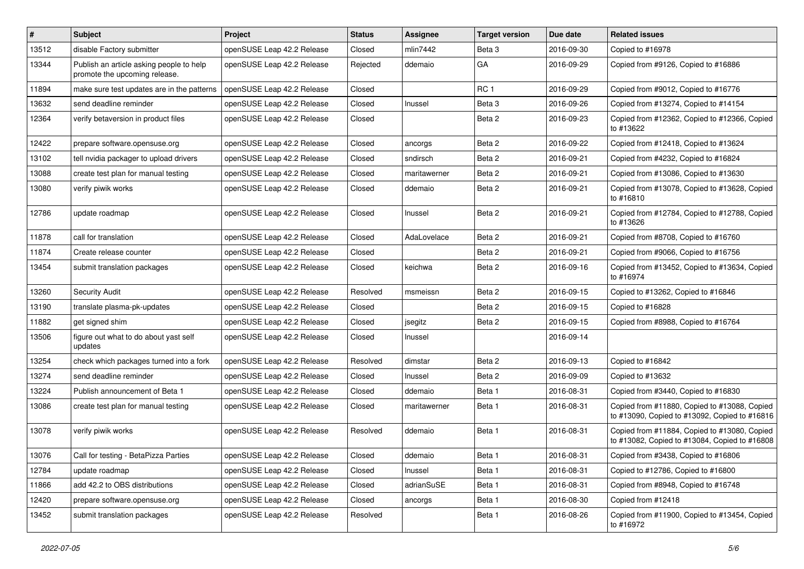| ∦     | Subject                                                                   | Project                    | <b>Status</b> | Assignee     | <b>Target version</b> | Due date   | <b>Related issues</b>                                                                         |
|-------|---------------------------------------------------------------------------|----------------------------|---------------|--------------|-----------------------|------------|-----------------------------------------------------------------------------------------------|
| 13512 | disable Factory submitter                                                 | openSUSE Leap 42.2 Release | Closed        | mlin7442     | Beta <sub>3</sub>     | 2016-09-30 | Copied to #16978                                                                              |
| 13344 | Publish an article asking people to help<br>promote the upcoming release. | openSUSE Leap 42.2 Release | Rejected      | ddemaio      | GA                    | 2016-09-29 | Copied from #9126, Copied to #16886                                                           |
| 11894 | make sure test updates are in the patterns                                | openSUSE Leap 42.2 Release | Closed        |              | RC <sub>1</sub>       | 2016-09-29 | Copied from #9012, Copied to #16776                                                           |
| 13632 | send deadline reminder                                                    | openSUSE Leap 42.2 Release | Closed        | Inussel      | Beta <sub>3</sub>     | 2016-09-26 | Copied from #13274, Copied to #14154                                                          |
| 12364 | verify betaversion in product files                                       | openSUSE Leap 42.2 Release | Closed        |              | Beta 2                | 2016-09-23 | Copied from #12362, Copied to #12366, Copied<br>to #13622                                     |
| 12422 | prepare software.opensuse.org                                             | openSUSE Leap 42.2 Release | Closed        | ancorgs      | Beta 2                | 2016-09-22 | Copied from #12418, Copied to #13624                                                          |
| 13102 | tell nvidia packager to upload drivers                                    | openSUSE Leap 42.2 Release | Closed        | sndirsch     | Beta 2                | 2016-09-21 | Copied from #4232, Copied to #16824                                                           |
| 13088 | create test plan for manual testing                                       | openSUSE Leap 42.2 Release | Closed        | maritawerner | Beta 2                | 2016-09-21 | Copied from #13086, Copied to #13630                                                          |
| 13080 | verify piwik works                                                        | openSUSE Leap 42.2 Release | Closed        | ddemaio      | Beta 2                | 2016-09-21 | Copied from #13078, Copied to #13628, Copied<br>to #16810                                     |
| 12786 | update roadmap                                                            | openSUSE Leap 42.2 Release | Closed        | Inussel      | Beta 2                | 2016-09-21 | Copied from #12784, Copied to #12788, Copied<br>to #13626                                     |
| 11878 | call for translation                                                      | openSUSE Leap 42.2 Release | Closed        | AdaLovelace  | Beta 2                | 2016-09-21 | Copied from #8708, Copied to #16760                                                           |
| 11874 | Create release counter                                                    | openSUSE Leap 42.2 Release | Closed        |              | Beta 2                | 2016-09-21 | Copied from #9066, Copied to #16756                                                           |
| 13454 | submit translation packages                                               | openSUSE Leap 42.2 Release | Closed        | keichwa      | Beta 2                | 2016-09-16 | Copied from #13452, Copied to #13634, Copied<br>to #16974                                     |
| 13260 | <b>Security Audit</b>                                                     | openSUSE Leap 42.2 Release | Resolved      | msmeissn     | Beta 2                | 2016-09-15 | Copied to #13262, Copied to #16846                                                            |
| 13190 | translate plasma-pk-updates                                               | openSUSE Leap 42.2 Release | Closed        |              | Beta 2                | 2016-09-15 | Copied to #16828                                                                              |
| 11882 | get signed shim                                                           | openSUSE Leap 42.2 Release | Closed        | jsegitz      | Beta 2                | 2016-09-15 | Copied from #8988, Copied to #16764                                                           |
| 13506 | figure out what to do about yast self<br>updates                          | openSUSE Leap 42.2 Release | Closed        | Inussel      |                       | 2016-09-14 |                                                                                               |
| 13254 | check which packages turned into a fork                                   | openSUSE Leap 42.2 Release | Resolved      | dimstar      | Beta 2                | 2016-09-13 | Copied to #16842                                                                              |
| 13274 | send deadline reminder                                                    | openSUSE Leap 42.2 Release | Closed        | Inussel      | Beta 2                | 2016-09-09 | Copied to #13632                                                                              |
| 13224 | Publish announcement of Beta 1                                            | openSUSE Leap 42.2 Release | Closed        | ddemaio      | Beta 1                | 2016-08-31 | Copied from #3440, Copied to #16830                                                           |
| 13086 | create test plan for manual testing                                       | openSUSE Leap 42.2 Release | Closed        | maritawerner | Beta 1                | 2016-08-31 | Copied from #11880, Copied to #13088, Copied<br>to #13090, Copied to #13092, Copied to #16816 |
| 13078 | verify piwik works                                                        | openSUSE Leap 42.2 Release | Resolved      | ddemaio      | Beta 1                | 2016-08-31 | Copied from #11884, Copied to #13080, Copied<br>to #13082, Copied to #13084, Copied to #16808 |
| 13076 | Call for testing - BetaPizza Parties                                      | openSUSE Leap 42.2 Release | Closed        | ddemaio      | Beta 1                | 2016-08-31 | Copied from #3438, Copied to #16806                                                           |
| 12784 | update roadmap                                                            | openSUSE Leap 42.2 Release | Closed        | Inussel      | Beta 1                | 2016-08-31 | Copied to #12786, Copied to #16800                                                            |
| 11866 | add 42.2 to OBS distributions                                             | openSUSE Leap 42.2 Release | Closed        | adrianSuSE   | Beta 1                | 2016-08-31 | Copied from #8948, Copied to #16748                                                           |
| 12420 | prepare software.opensuse.org                                             | openSUSE Leap 42.2 Release | Closed        | ancorgs      | Beta 1                | 2016-08-30 | Copied from #12418                                                                            |
| 13452 | submit translation packages                                               | openSUSE Leap 42.2 Release | Resolved      |              | Beta 1                | 2016-08-26 | Copied from #11900, Copied to #13454, Copied<br>to #16972                                     |